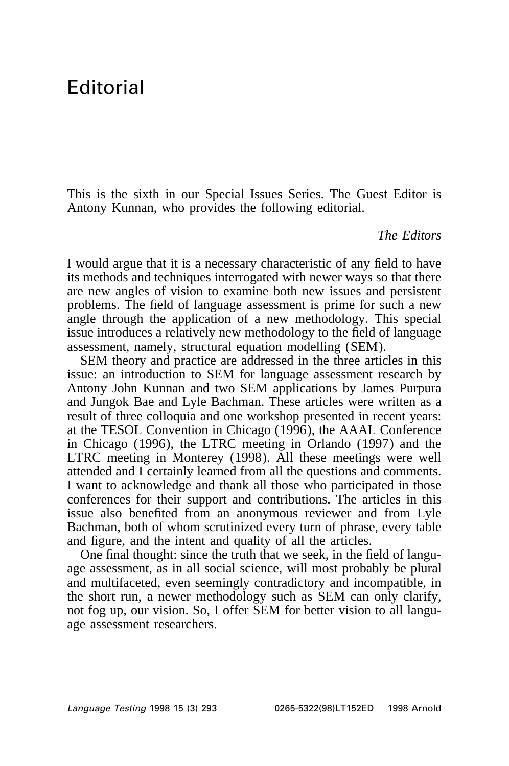## Editorial

This is the sixth in our Special Issues Series. The Guest Editor is Antony Kunnan, who provides the following editorial.

## *The Editors*

I would argue that it is a necessary characteristic of any field to have its methods and techniques interrogated with newer ways so that there are new angles of vision to examine both new issues and persistent problems. The field of language assessment is prime for such a new angle through the application of a new methodology. This special issue introduces a relatively new methodology to the field of language assessment, namely, structural equation modelling (SEM).

SEM theory and practice are addressed in the three articles in this issue: an introduction to SEM for language assessment research by Antony John Kunnan and two SEM applications by James Purpura and Jungok Bae and Lyle Bachman. These articles were written as a result of three colloquia and one workshop presented in recent years: at the TESOL Convention in Chicago (1996), the AAAL Conference in Chicago (1996), the LTRC meeting in Orlando (1997) and the LTRC meeting in Monterey (1998). All these meetings were well attended and I certainly learned from all the questions and comments. I want to acknowledge and thank all those who participated in those conferences for their support and contributions. The articles in this issue also benefited from an anonymous reviewer and from Lyle Bachman, both of whom scrutinized every turn of phrase, every table and figure, and the intent and quality of all the articles.

One final thought: since the truth that we seek, in the field of language assessment, as in all social science, will most probably be plural and multifaceted, even seemingly contradictory and incompatible, in the short run, a newer methodology such as SEM can only clarify, not fog up, our vision. So, I offer SEM for better vision to all language assessment researchers.